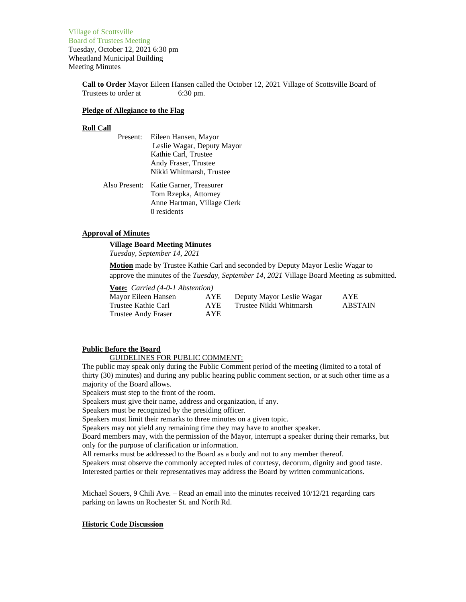Village of Scottsville Board of Trustees Meeting Tuesday, October 12, 2021 6:30 pm Wheatland Municipal Building Meeting Minutes

> **Call to Order** Mayor Eileen Hansen called the October 12, 2021 Village of Scottsville Board of Trustees to order at 6:30 pm.

#### **Pledge of Allegiance to the Flag**

#### **Roll Call**

- Present: Eileen Hansen, Mayor Leslie Wagar, Deputy Mayor Kathie Carl, Trustee Andy Fraser, Trustee Nikki Whitmarsh, Trustee
- Also Present: Katie Garner, Treasurer Tom Rzepka, Attorney Anne Hartman, Village Clerk 0 residents

# **Approval of Minutes**

# **Village Board Meeting Minutes**

*Tuesday, September 14, 2021*

**Motion** made by Trustee Kathie Carl and seconded by Deputy Mayor Leslie Wagar to approve the minutes of the *Tuesday, September 14, 2021* Village Board Meeting as submitted.

**Vote:** *Carried (4-0-1 Abstention)* Trustee Andy Fraser AYE

Mayor Eileen Hansen AYE Deputy Mayor Leslie Wagar AYE Trustee Kathie Carl AYE Trustee Nikki Whitmarsh ABSTAIN

## **Public Before the Board**

## GUIDELINES FOR PUBLIC COMMENT:

The public may speak only during the Public Comment period of the meeting (limited to a total of thirty (30) minutes) and during any public hearing public comment section, or at such other time as a majority of the Board allows.

Speakers must step to the front of the room.

Speakers must give their name, address and organization, if any.

Speakers must be recognized by the presiding officer.

Speakers must limit their remarks to three minutes on a given topic.

Speakers may not yield any remaining time they may have to another speaker.

Board members may, with the permission of the Mayor, interrupt a speaker during their remarks, but only for the purpose of clarification or information.

All remarks must be addressed to the Board as a body and not to any member thereof.

Speakers must observe the commonly accepted rules of courtesy, decorum, dignity and good taste. Interested parties or their representatives may address the Board by written communications.

Michael Souers,  $9$  Chili Ave. – Read an email into the minutes received  $10/12/21$  regarding cars parking on lawns on Rochester St. and North Rd.

# **Historic Code Discussion**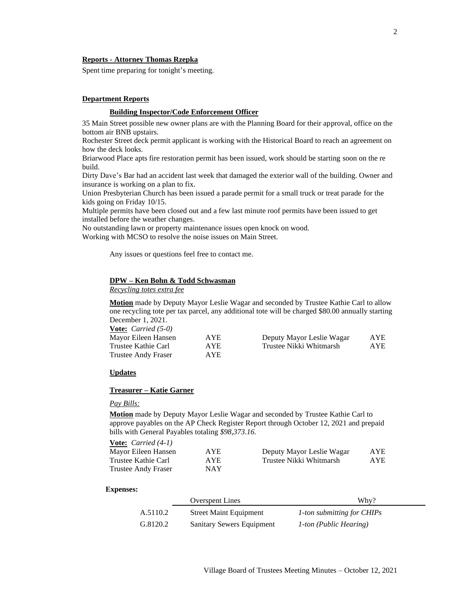# **Reports - Attorney Thomas Rzepka**

Spent time preparing for tonight's meeting.

# **Department Reports**

# **Building Inspector/Code Enforcement Officer**

35 Main Street possible new owner plans are with the Planning Board for their approval, office on the bottom air BNB upstairs.

Rochester Street deck permit applicant is working with the Historical Board to reach an agreement on how the deck looks.

Briarwood Place apts fire restoration permit has been issued, work should be starting soon on the re build.

Dirty Dave's Bar had an accident last week that damaged the exterior wall of the building. Owner and insurance is working on a plan to fix.

Union Presbyterian Church has been issued a parade permit for a small truck or treat parade for the kids going on Friday 10/15.

Multiple permits have been closed out and a few last minute roof permits have been issued to get installed before the weather changes.

No outstanding lawn or property maintenance issues open knock on wood. Working with MCSO to resolve the noise issues on Main Street.

Any issues or questions feel free to contact me.

# **DPW – Ken Bohn & Todd Schwasman**

*Recycling totes extra fee*

**Motion** made by Deputy Mayor Leslie Wagar and seconded by Trustee Kathie Carl to allow one recycling tote per tax parcel, any additional tote will be charged \$80.00 annually starting December 1, 2021.

| <b><u>Vote:</u></b> <i>Carried</i> $(5-0)$ |      |                           |            |
|--------------------------------------------|------|---------------------------|------------|
| Mayor Eileen Hansen                        | AYE  | Deputy Mayor Leslie Wagar | <b>AYE</b> |
| Trustee Kathie Carl                        | AYE. | Trustee Nikki Whitmarsh   | <b>AYE</b> |
| Trustee Andy Fraser                        | AYE. |                           |            |

#### **Updates**

# **Treasurer – Katie Garner**

## *Pay Bills:*

**Motion** made by Deputy Mayor Leslie Wagar and seconded by Trustee Kathie Carl to approve payables on the AP Check Register Report through October 12, 2021 and prepaid bills with General Payables totaling *\$98,373.16.*

| <b>Vote:</b> <i>Carried</i> $(4-1)$ |            |                           |      |
|-------------------------------------|------------|---------------------------|------|
| Mayor Eileen Hansen                 | AYE.       | Deputy Mayor Leslie Wagar | AYE. |
| Trustee Kathie Carl                 | AYE.       | Trustee Nikki Whitmarsh   | AYE. |
| <b>Trustee Andy Fraser</b>          | <b>NAY</b> |                           |      |

#### **Expenses:**

|          | <b>Overspent Lines</b>        | Why?                       |
|----------|-------------------------------|----------------------------|
| A.5110.2 | <b>Street Maint Equipment</b> | 1-ton submitting for CHIPs |
| G.8120.2 | Sanitary Sewers Equipment     | 1-ton (Public Hearing)     |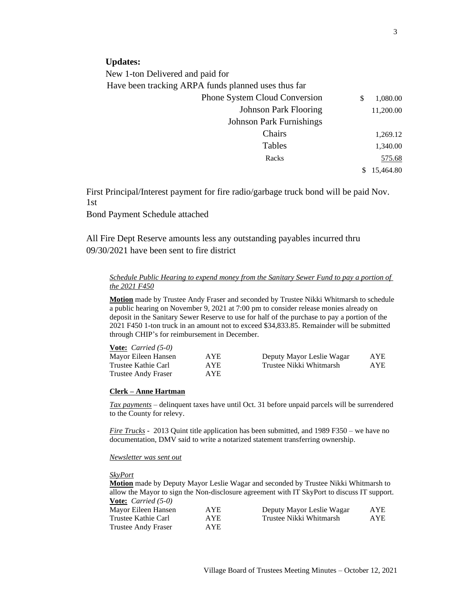New 1-ton Delivered and paid for

Have been tracking ARPA funds planned uses thus far

| <b>Phone System Cloud Conversion</b> |
|--------------------------------------|
| <b>Johnson Park Flooring</b>         |
| <b>Johnson Park Furnishings</b>      |
| Chairs                               |
| Tables                               |
| Racks                                |
|                                      |
|                                      |

First Principal/Interest payment for fire radio/garbage truck bond will be paid Nov. 1st

Bond Payment Schedule attached

All Fire Dept Reserve amounts less any outstanding payables incurred thru 09/30/2021 have been sent to fire district

# *Schedule Public Hearing to expend money from the Sanitary Sewer Fund to pay a portion of the 2021 F450*

**Motion** made by Trustee Andy Fraser and seconded by Trustee Nikki Whitmarsh to schedule a public hearing on November 9, 2021 at 7:00 pm to consider release monies already on deposit in the Sanitary Sewer Reserve to use for half of the purchase to pay a portion of the 2021 F450 1-ton truck in an amount not to exceed \$34,833.85. Remainder will be submitted through CHIP's for reimbursement in December.

| <b><u>Vote:</u></b> <i>Carried</i> $(5-0)$ |            |                           |     |
|--------------------------------------------|------------|---------------------------|-----|
| Mayor Eileen Hansen                        | <b>AYE</b> | Deputy Mayor Leslie Wagar | AYE |
| Trustee Kathie Carl                        | AYE.       | Trustee Nikki Whitmarsh   | AYE |
| Trustee Andy Fraser                        | AYE.       |                           |     |

# **Clerk – Anne Hartman**

*Tax payments* – delinquent taxes have until Oct. 31 before unpaid parcels will be surrendered to the County for relevy.

*Fire Trucks* - 2013 Quint title application has been submitted, and 1989 F350 – we have no documentation, DMV said to write a notarized statement transferring ownership.

*Newsletter was sent out*

*SkyPort*

**Motion** made by Deputy Mayor Leslie Wagar and seconded by Trustee Nikki Whitmarsh to allow the Mayor to sign the Non-disclosure agreement with IT SkyPort to discuss IT support. **Vote:** *Carried (5-0)*

| $\frac{1}{2}$ $\frac{1}{2}$ $\frac{1}{2}$ $\frac{1}{2}$ $\frac{1}{2}$ $\frac{1}{2}$ $\frac{1}{2}$ $\frac{1}{2}$ $\frac{1}{2}$ $\frac{1}{2}$ $\frac{1}{2}$ $\frac{1}{2}$ $\frac{1}{2}$ $\frac{1}{2}$ $\frac{1}{2}$ $\frac{1}{2}$ $\frac{1}{2}$ $\frac{1}{2}$ $\frac{1}{2}$ $\frac{1}{2}$ $\frac{1}{2}$ $\frac{1}{2}$ |            |                           |      |
|---------------------------------------------------------------------------------------------------------------------------------------------------------------------------------------------------------------------------------------------------------------------------------------------------------------------|------------|---------------------------|------|
| Mayor Eileen Hansen                                                                                                                                                                                                                                                                                                 | <b>AYE</b> | Deputy Mayor Leslie Wagar | AYE. |
| Trustee Kathie Carl                                                                                                                                                                                                                                                                                                 | <b>AYE</b> | Trustee Nikki Whitmarsh   | AYE. |
| Trustee Andy Fraser                                                                                                                                                                                                                                                                                                 | AYE.       |                           |      |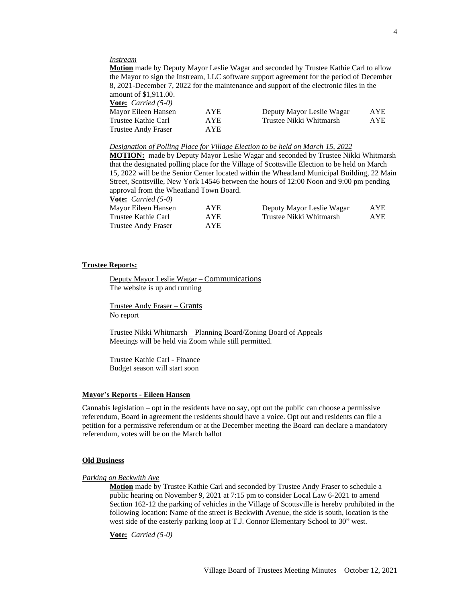#### *Instream*

**Motion** made by Deputy Mayor Leslie Wagar and seconded by Trustee Kathie Carl to allow the Mayor to sign the Instream, LLC software support agreement for the period of December 8, 2021-December 7, 2022 for the maintenance and support of the electronic files in the amount of \$1,911.00.

**Vote:** *Carried (5-0)*

| $\overline{v}$ $\overline{v}$ $\overline{v}$ $\overline{v}$ $\overline{v}$ $\overline{v}$ $\overline{v}$ $\overline{v}$ $\overline{v}$ |            |                           |            |
|----------------------------------------------------------------------------------------------------------------------------------------|------------|---------------------------|------------|
| Mayor Eileen Hansen                                                                                                                    | <b>AYE</b> | Deputy Mayor Leslie Wagar | <b>AYE</b> |
| Trustee Kathie Carl                                                                                                                    | <b>AYE</b> | Trustee Nikki Whitmarsh   | AYE        |
| Trustee Andy Fraser                                                                                                                    | AYE.       |                           |            |

#### *Designation of Polling Place for Village Election to be held on March 15, 2022*

**MOTION:** made by Deputy Mayor Leslie Wagar and seconded by Trustee Nikki Whitmarsh that the designated polling place for the Village of Scottsville Election to be held on March 15, 2022 will be the Senior Center located within the Wheatland Municipal Building, 22 Main Street, Scottsville, New York 14546 between the hours of 12:00 Noon and 9:00 pm pending approval from the Wheatland Town Board.

| <b><u>Vote:</u></b> <i>Carried</i> $(5-0)$ |            |                           |     |
|--------------------------------------------|------------|---------------------------|-----|
| Mayor Eileen Hansen                        | <b>AYE</b> | Deputy Mayor Leslie Wagar | AYE |
| Trustee Kathie Carl                        | AYE.       | Trustee Nikki Whitmarsh   | AYE |
| Trustee Andy Fraser                        | AYE.       |                           |     |

#### **Trustee Reports:**

Deputy Mayor Leslie Wagar – Communications The website is up and running

Trustee Andy Fraser – Grants No report

Trustee Nikki Whitmarsh – Planning Board/Zoning Board of Appeals Meetings will be held via Zoom while still permitted.

Trustee Kathie Carl - Finance Budget season will start soon

## **Mayor's Reports - Eileen Hansen**

Cannabis legislation – opt in the residents have no say, opt out the public can choose a permissive referendum, Board in agreement the residents should have a voice. Opt out and residents can file a petition for a permissive referendum or at the December meeting the Board can declare a mandatory referendum, votes will be on the March ballot

#### **Old Business**

*Parking on Beckwith Ave*

**Motion** made by Trustee Kathie Carl and seconded by Trustee Andy Fraser to schedule a public hearing on November 9, 2021 at 7:15 pm to consider Local Law 6-2021 to amend Section 162-12 the parking of vehicles in the Village of Scottsville is hereby prohibited in the following location: Name of the street is Beckwith Avenue, the side is south, location is the west side of the easterly parking loop at T.J. Connor Elementary School to 30" west.

**Vote:** *Carried (5-0)*